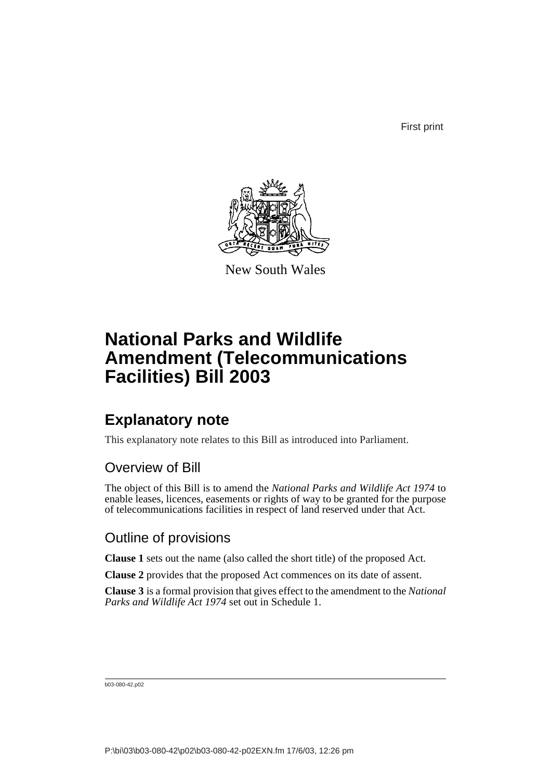First print



New South Wales

# **National Parks and Wildlife Amendment (Telecommunications Facilities) Bill 2003**

## **Explanatory note**

This explanatory note relates to this Bill as introduced into Parliament.

## Overview of Bill

The object of this Bill is to amend the *National Parks and Wildlife Act 1974* to enable leases, licences, easements or rights of way to be granted for the purpose of telecommunications facilities in respect of land reserved under that Act.

## Outline of provisions

**Clause 1** sets out the name (also called the short title) of the proposed Act.

**Clause 2** provides that the proposed Act commences on its date of assent.

**Clause 3** is a formal provision that gives effect to the amendment to the *National Parks and Wildlife Act 1974* set out in Schedule 1.

b03-080-42.p02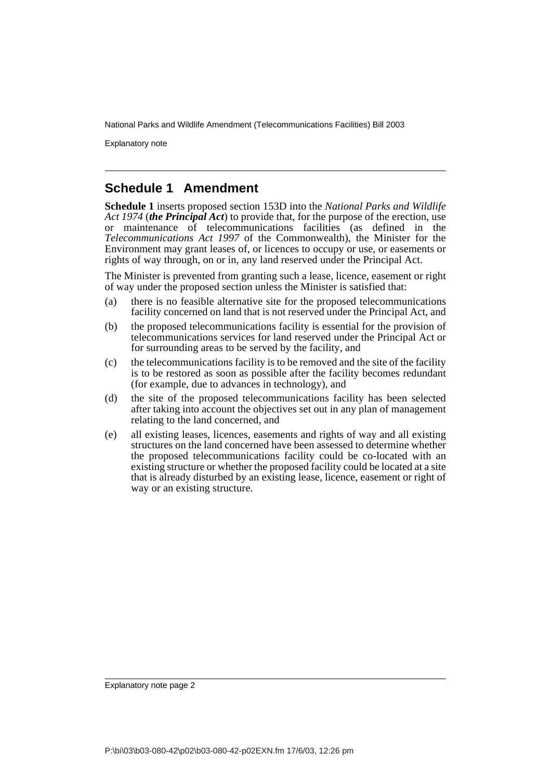Explanatory note

#### **Schedule 1 Amendment**

**Schedule 1** inserts proposed section 153D into the *National Parks and Wildlife Act 1974* (*the Principal Act*) to provide that, for the purpose of the erection, use or maintenance of telecommunications facilities (as defined in the *Telecommunications Act 1997* of the Commonwealth), the Minister for the Environment may grant leases of, or licences to occupy or use, or easements or rights of way through, on or in, any land reserved under the Principal Act.

The Minister is prevented from granting such a lease, licence, easement or right of way under the proposed section unless the Minister is satisfied that:

- (a) there is no feasible alternative site for the proposed telecommunications facility concerned on land that is not reserved under the Principal Act, and
- (b) the proposed telecommunications facility is essential for the provision of telecommunications services for land reserved under the Principal Act or for surrounding areas to be served by the facility, and
- (c) the telecommunications facility is to be removed and the site of the facility is to be restored as soon as possible after the facility becomes redundant (for example, due to advances in technology), and
- (d) the site of the proposed telecommunications facility has been selected after taking into account the objectives set out in any plan of management relating to the land concerned, and
- (e) all existing leases, licences, easements and rights of way and all existing structures on the land concerned have been assessed to determine whether the proposed telecommunications facility could be co-located with an existing structure or whether the proposed facility could be located at a site that is already disturbed by an existing lease, licence, easement or right of way or an existing structure.

Explanatory note page 2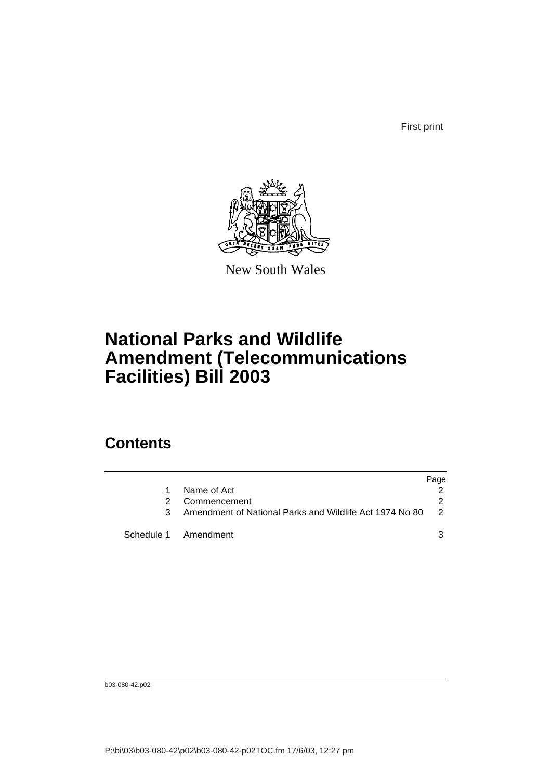First print



New South Wales

# **National Parks and Wildlife Amendment (Telecommunications Facilities) Bill 2003**

## **Contents**

|   |                                                         | Page          |
|---|---------------------------------------------------------|---------------|
|   | Name of Act                                             |               |
| 2 | Commencement                                            | 2             |
|   | Amendment of National Parks and Wildlife Act 1974 No 80 | $\mathcal{P}$ |
|   | Schedule 1 Amendment                                    |               |

b03-080-42.p02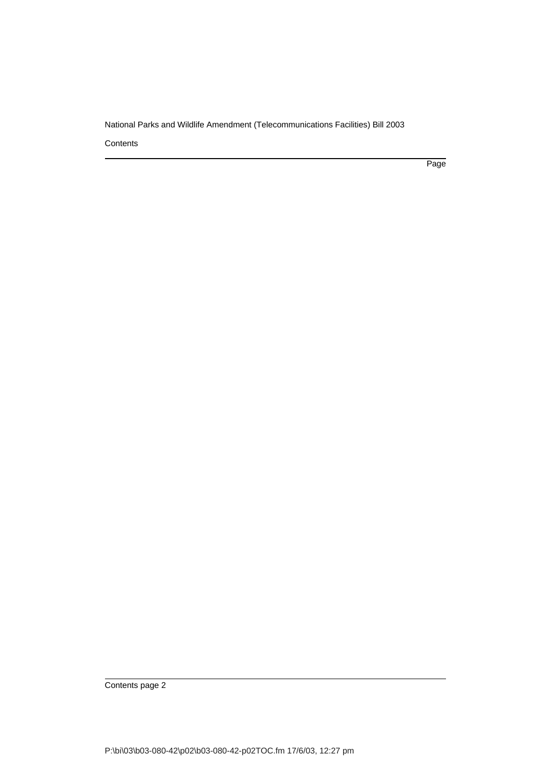**Contents** 

Page

Contents page 2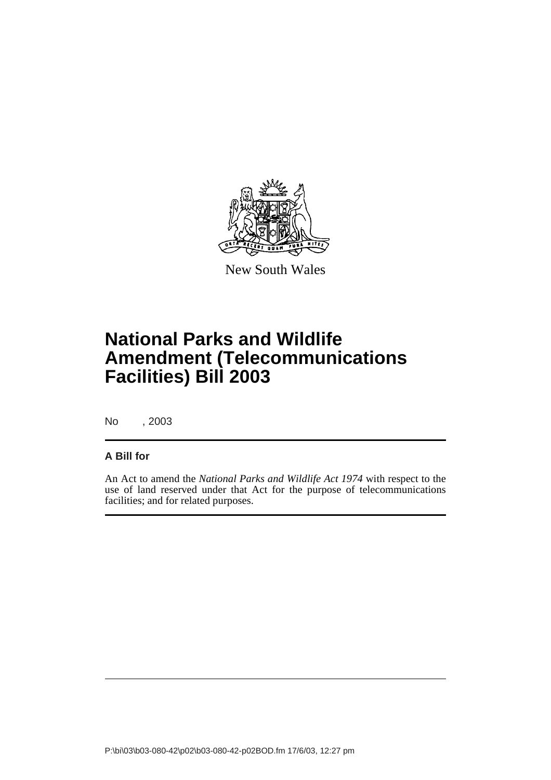

New South Wales

# **National Parks and Wildlife Amendment (Telecommunications Facilities) Bill 2003**

No , 2003

#### **A Bill for**

An Act to amend the *National Parks and Wildlife Act 1974* with respect to the use of land reserved under that Act for the purpose of telecommunications facilities; and for related purposes.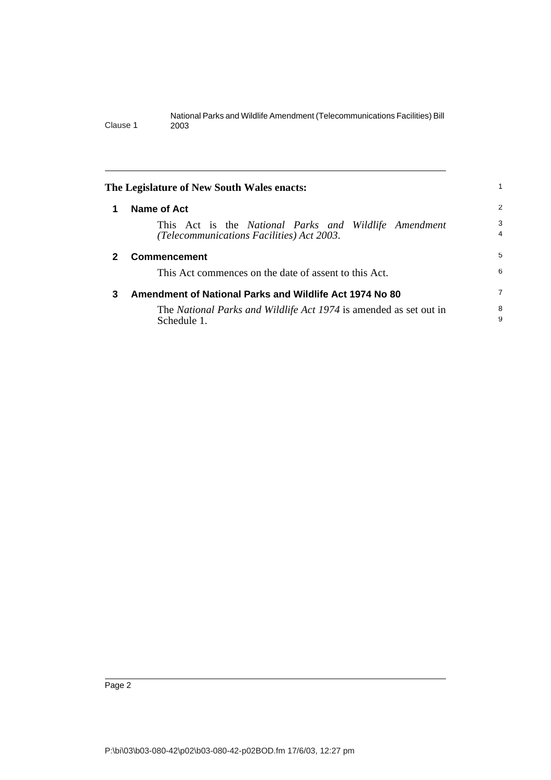<span id="page-5-2"></span><span id="page-5-1"></span><span id="page-5-0"></span>

| The Legislature of New South Wales enacts: |                                                                                                    |        |
|--------------------------------------------|----------------------------------------------------------------------------------------------------|--------|
| 1                                          | Name of Act                                                                                        | 2      |
|                                            | This Act is the National Parks and Wildlife Amendment<br>(Telecommunications Facilities) Act 2003. | 3<br>4 |
| $\mathbf{2}$                               | <b>Commencement</b>                                                                                | 5      |
|                                            | This Act commences on the date of assent to this Act.                                              | 6      |
| 3                                          | Amendment of National Parks and Wildlife Act 1974 No 80                                            | 7      |
|                                            | The National Parks and Wildlife Act 1974 is amended as set out in<br>Schedule 1.                   | 8<br>9 |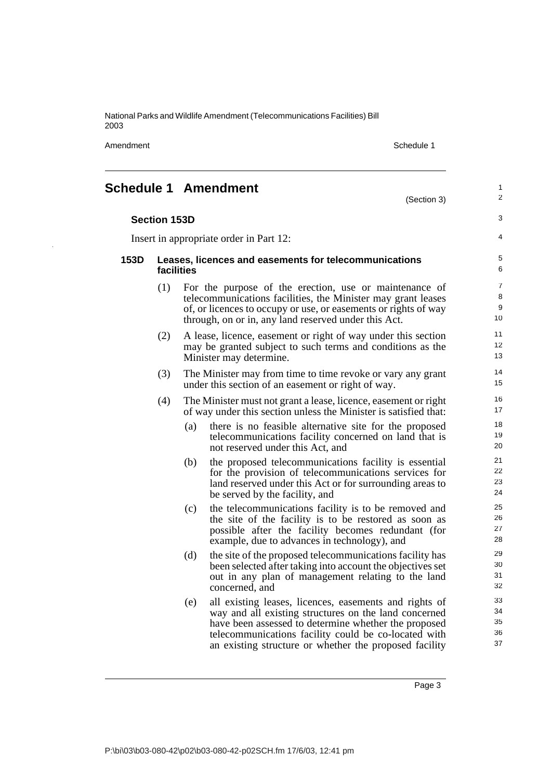Amendment Schedule 1 and the state of the state 1 and the state of the Schedule 1

(Section 3)

1 2

3

4

## <span id="page-6-0"></span>**Schedule 1 Amendment**

Insert in appropriate order in Part 12:

#### **153D Leases, licences and easements for telecommunications facilities**

- (1) For the purpose of the erection, use or maintenance of telecommunications facilities, the Minister may grant leases of, or licences to occupy or use, or easements or rights of way through, on or in, any land reserved under this Act.
- (2) A lease, licence, easement or right of way under this section may be granted subject to such terms and conditions as the Minister may determine.
- (3) The Minister may from time to time revoke or vary any grant under this section of an easement or right of way.
- (4) The Minister must not grant a lease, licence, easement or right of way under this section unless the Minister is satisfied that:
	- (a) there is no feasible alternative site for the proposed telecommunications facility concerned on land that is not reserved under this Act, and
	- (b) the proposed telecommunications facility is essential for the provision of telecommunications services for land reserved under this Act or for surrounding areas to be served by the facility, and
	- (c) the telecommunications facility is to be removed and the site of the facility is to be restored as soon as possible after the facility becomes redundant (for example, due to advances in technology), and
	- (d) the site of the proposed telecommunications facility has been selected after taking into account the objectives set out in any plan of management relating to the land concerned, and
	- (e) all existing leases, licences, easements and rights of way and all existing structures on the land concerned have been assessed to determine whether the proposed telecommunications facility could be co-located with an existing structure or whether the proposed facility

Page 3